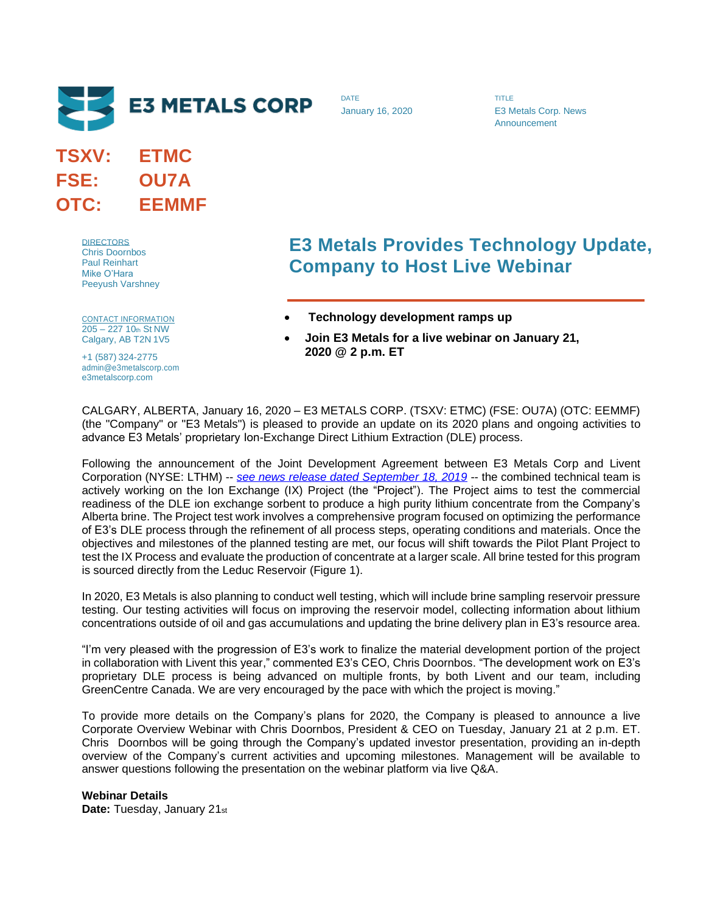

**TSXV: ETMC FSE: OU7A OTC: EEMMF**

> **DIRECTORS** Chris Doornbos Paul Reinhart Mike O'Hara Peeyush Varshney

CONTACT INFORMATION 205 – 227 10th St NW Calgary, AB T2N 1V5

+1 (587) 324-2775 admin@e3metalscorp.com e3metalscorp.com

## **E3 Metals Provides Technology Update, Company to Host Live Webinar**

TITLE

E3 Metals Corp. News Announcement

- **Technology development ramps up**
- **Join E3 Metals for a live webinar on January 21, 2020 @ 2 p.m. ET**

CALGARY, ALBERTA, January 16, 2020 – E3 METALS CORP. (TSXV: ETMC) (FSE: OU7A) (OTC: EEMMF) (the "Company" or "E3 Metals") is pleased to provide an update on its 2020 plans and ongoing activities to advance E3 Metals' proprietary Ion-Exchange Direct Lithium Extraction (DLE) process.

DATE

January 16, 2020

Following the announcement of the Joint Development Agreement between E3 Metals Corp and Livent Corporation (NYSE: LTHM) -- *[see news release dated September 18, 2019](https://static1.squarespace.com/static/5bee50e036099b521ae8df0b/t/5d81c78e7b682a4ae61ab211/1568786319895/20190918_E3-Livent+Joint+Development.pdf)* -- the combined technical team is actively working on the Ion Exchange (IX) Project (the "Project"). The Project aims to test the commercial readiness of the DLE ion exchange sorbent to produce a high purity lithium concentrate from the Company's Alberta brine. The Project test work involves a comprehensive program focused on optimizing the performance of E3's DLE process through the refinement of all process steps, operating conditions and materials. Once the objectives and milestones of the planned testing are met, our focus will shift towards the Pilot Plant Project to test the IX Process and evaluate the production of concentrate at a larger scale. All brine tested for this program is sourced directly from the Leduc Reservoir (Figure 1).

In 2020, E3 Metals is also planning to conduct well testing, which will include brine sampling reservoir pressure testing. Our testing activities will focus on improving the reservoir model, collecting information about lithium concentrations outside of oil and gas accumulations and updating the brine delivery plan in E3's resource area.

"I'm very pleased with the progression of E3's work to finalize the material development portion of the project in collaboration with Livent this year," commented E3's CEO, Chris Doornbos. "The development work on E3's proprietary DLE process is being advanced on multiple fronts, by both Livent and our team, including GreenCentre Canada. We are very encouraged by the pace with which the project is moving."

To provide more details on the Company's plans for 2020, the Company is pleased to announce a live Corporate Overview Webinar with Chris Doornbos, President & CEO on Tuesday, January 21 at 2 p.m. ET. Chris Doornbos will be going through the Company's updated investor presentation, providing an in-depth overview of the Company's current activities and upcoming milestones. Management will be available to answer questions following the presentation on the webinar platform via live Q&A.

**Webinar Details Date:** Tuesday, January 21st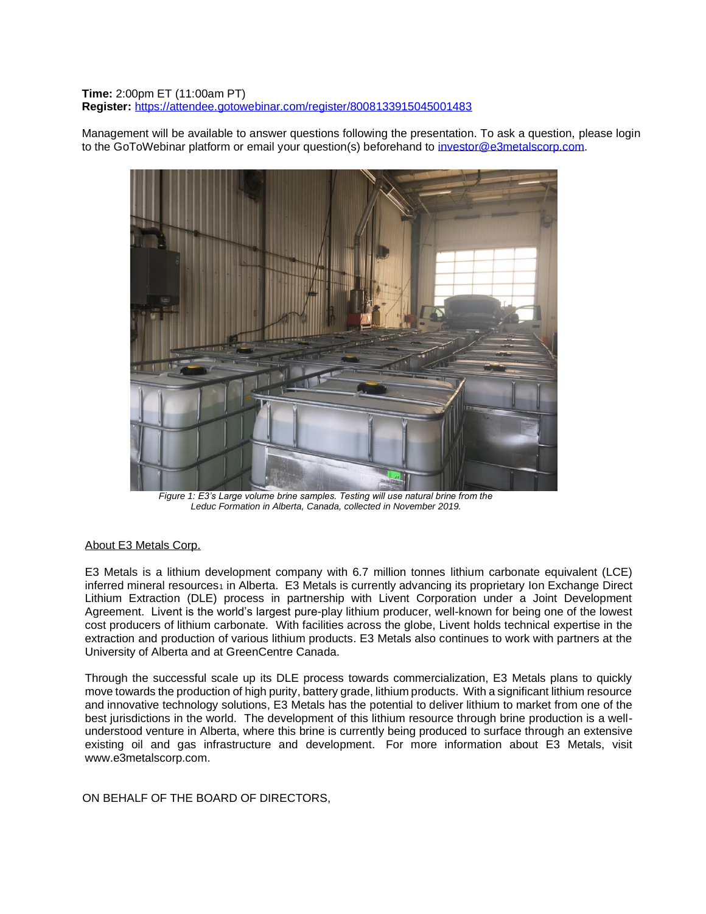**Time:** 2:00pm ET (11:00am PT) **Register:** <https://attendee.gotowebinar.com/register/8008133915045001483>

Management will be available to answer questions following the presentation. To ask a question, please login to the GoToWebinar platform or email your question(s) beforehand to [investor@e3metalscorp.com.](mailto:investor@e3metalscorp.com)



*Figure 1: E3's Large volume brine samples. Testing will use natural brine from the Leduc Formation in Alberta, Canada, collected in November 2019.*

## About E3 Metals Corp.

E3 Metals is a lithium development company with 6.7 million tonnes lithium carbonate equivalent (LCE) inferred mineral resources<sub>1</sub> in Alberta. E3 Metals is currently advancing its proprietary Ion Exchange Direct Lithium Extraction (DLE) process in partnership with Livent Corporation under a Joint Development Agreement. Livent is the world's largest pure-play lithium producer, well-known for being one of the lowest cost producers of lithium carbonate. With facilities across the globe, Livent holds technical expertise in the extraction and production of various lithium products. E3 Metals also continues to work with partners at the University of Alberta and at GreenCentre Canada.

Through the successful scale up its DLE process towards commercialization, E3 Metals plans to quickly move towards the production of high purity, battery grade, lithium products. With a significant lithium resource and innovative technology solutions, E3 Metals has the potential to deliver lithium to market from one of the best jurisdictions in the world. The development of this lithium resource through brine production is a wellunderstood venture in Alberta, where this brine is currently being produced to surface through an extensive existing oil and gas infrastructure and development. For more information about E3 Metals, visit [www.e3metalscorp.com.](http://www.e3metalscorp.com/)

ON BEHALF OF THE BOARD OF DIRECTORS,